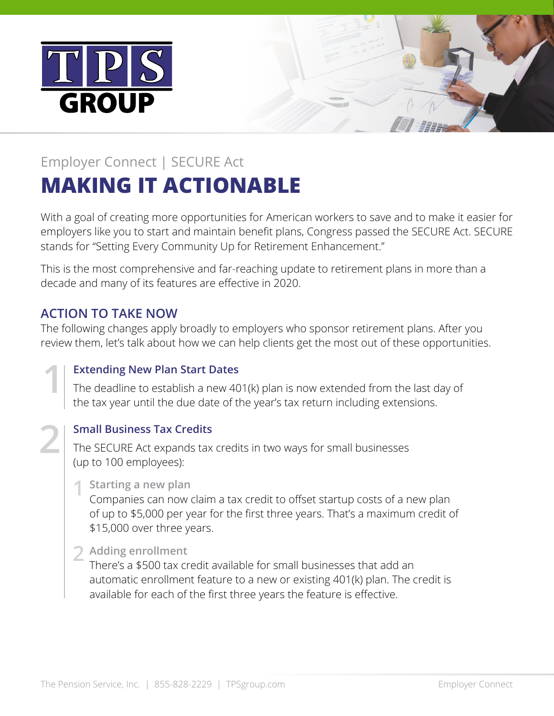



# Employer Connect | SECURE Act **MAKING IT ACTIONABLE**

With a goal of creating more opportunities for American workers to save and to make it easier for employers like you to start and maintain benefit plans, Congress passed the SECURE Act. SECURE stands for "Setting Every Community Up for Retirement Enhancement."

This is the most comprehensive and far-reaching update to retirement plans in more than a decade and many of its features are effective in 2020.

### **ACTION TO TAKE NOW**

The following changes apply broadly to employers who sponsor retirement plans. After you review them, let's talk about how we can help clients get the most out of these opportunities.

#### **Extending New Plan Start Dates**

The deadline to establish a new 401(k) plan is now extended from the last day of the tax year until the due date of the year's tax return including extensions.



**1**

#### **Small Business Tax Credits**

The SECURE Act expands tax credits in two ways for small businesses (up to 100 employees):

#### **Starting a new plan 1**

Companies can now claim a tax credit to offset startup costs of a new plan of up to \$5,000 per year for the first three years. That's a maximum credit of \$15,000 over three years.

## 2 Adding enrollment

There's a \$500 tax credit available for small businesses that add an automatic enrollment feature to a new or existing 401(k) plan. The credit is available for each of the first three years the feature is effective.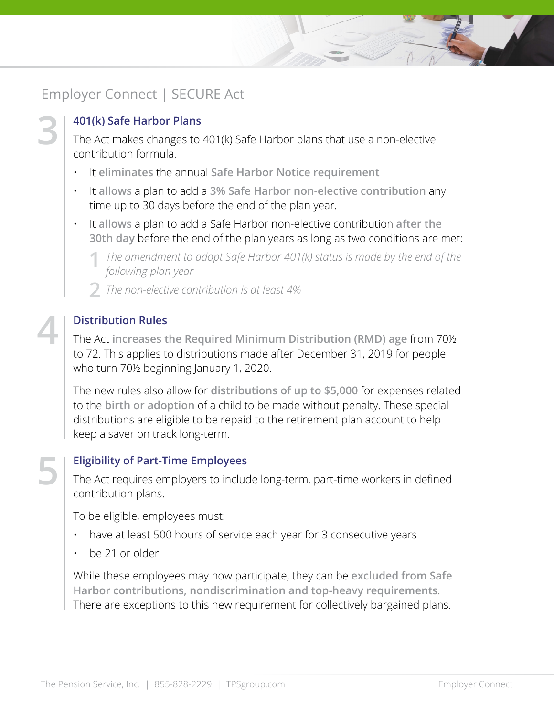### Employer Connect | SECURE Act

**3**

**4**

**5**

#### **401(k) Safe Harbor Plans**

The Act makes changes to 401(k) Safe Harbor plans that use a non‑elective contribution formula.

- It **eliminates** the annual **Safe Harbor Notice requirement**
- It **allows** a plan to add a **3% Safe Harbor non-elective contribution** any time up to 30 days before the end of the plan year.
- It **allows** a plan to add a Safe Harbor non-elective contribution **after the 30th day** before the end of the plan years as long as two conditions are met:

The amendment to adopt Safe Harbor 401(k) status is made by the end of the **11.1 Soloning** plan year. *following plan year* 

*The non-elective contribution is at least 4%* **2**

#### **Distribution Rules**

The Act **increases the Required Minimum Distribution (RMD) age** from 70½ to 72. This applies to distributions made after December 31, 2019 for people who turn 70<sup>1</sup>/<sub>2</sub> beginning January 1, 2020.

The new rules also allow for **distributions of up to \$5,000** for expenses related to the **birth or adoption** of a child to be made without penalty. These special distributions are eligible to be repaid to the retirement plan account to help keep a saver on track long-term.

#### **Eligibility of Part-Time Employees**

The Act requires employers to include long-term, part-time workers in defined contribution plans.

To be eligible, employees must:

- have at least 500 hours of service each year for 3 consecutive years
- be 21 or older

While these employees may now participate, they can be **excluded from Safe Harbor contributions, nondiscrimination and top-heavy requirements**. There are exceptions to this new requirement for collectively bargained plans.